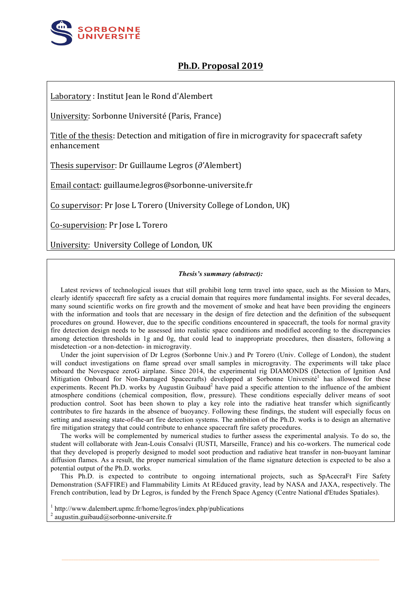

## **Ph.D. Proposal 2019**

Laboratory : Institut Jean le Rond d'Alembert

University: Sorbonne Université (Paris, France)

Title of the thesis: Detection and mitigation of fire in microgravity for spacecraft safety enhancement

Thesis supervisor: Dr Guillaume Legros (∂'Alembert)

Email contact: guillaume.legros@sorbonne-universite.fr

Co supervisor: Pr Jose L Torero (University College of London, UK)

Co-supervision: Pr Jose L Torero

University: University College of London, UK

## *Thesis's summary (abstract):*

Latest reviews of technological issues that still prohibit long term travel into space, such as the Mission to Mars, clearly identify spacecraft fire safety as a crucial domain that requires more fundamental insights. For several decades, many sound scientific works on fire growth and the movement of smoke and heat have been providing the engineers with the information and tools that are necessary in the design of fire detection and the definition of the subsequent procedures on ground. However, due to the specific conditions encountered in spacecraft, the tools for normal gravity fire detection design needs to be assessed into realistic space conditions and modified according to the discrepancies among detection thresholds in 1g and 0g, that could lead to inappropriate procedures, then disasters, following a misdetection -or a non-detection- in microgravity.

Under the joint supervision of Dr Legros (Sorbonne Univ.) and Pr Torero (Univ. College of London), the student will conduct investigations on flame spread over small samples in microgravity. The experiments will take place onboard the Novespace zeroG airplane. Since 2014, the experimental rig DIAMONDS (Detection of Ignition And Mitigation Onboard for Non-Damaged Spacecrafts) developped at Sorbonne Université<sup>1</sup> has allowed for these experiments. Recent Ph.D. works by Augustin Guibaud<sup>2</sup> have paid a specific attention to the influence of the ambient atmosphere conditions (chemical composition, flow, pressure). These conditions especially deliver means of soot production control. Soot has been shown to play a key role into the radiative heat transfer which significantly contributes to fire hazards in the absence of buoyancy. Following these findings, the student will especially focus on setting and assessing state-of-the-art fire detection systems. The ambition of the Ph.D. works is to design an alternative fire mitigation strategy that could contribute to enhance spacecraft fire safety procedures.

The works will be complemented by numerical studies to further assess the experimental analysis. To do so, the student will collaborate with Jean-Louis Consalvi (IUSTI, Marseille, France) and his co-workers. The numerical code that they developed is properly designed to model soot production and radiative heat transfer in non-buoyant laminar diffusion flames. As a result, the proper numerical simulation of the flame signature detection is expected to be also a potential output of the Ph.D. works.

This Ph.D. is expected to contribute to ongoing international projects, such as SpAcecraFt Fire Safety Demonstration (SAFFIRE) and Flammability Limits At REduced gravity, lead by NASA and JAXA, respectively. The French contribution, lead by Dr Legros, is funded by the French Space Agency (Centre National d'Etudes Spatiales).

 $1$  http://www.dalembert.upmc.fr/home/legros/index.php/publications <sup>2</sup> augustin.guibaud@sorbonne-universite.fr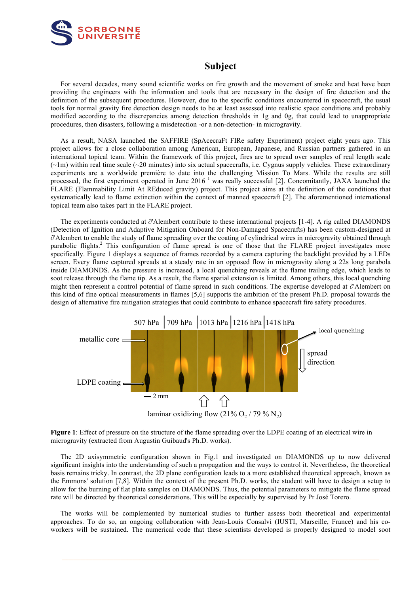

## **Subject**

For several decades, many sound scientific works on fire growth and the movement of smoke and heat have been providing the engineers with the information and tools that are necessary in the design of fire detection and the definition of the subsequent procedures. However, due to the specific conditions encountered in spacecraft, the usual tools for normal gravity fire detection design needs to be at least assessed into realistic space conditions and probably modified according to the discrepancies among detection thresholds in 1g and 0g, that could lead to unappropriate procedures, then disasters, following a misdetection -or a non-detection- in microgravity.

As a result, NASA launched the SAFFIRE (SpAcecraFt FIRe safety Experiment) project eight years ago. This project allows for a close collaboration among American, European, Japanese, and Russian partners gathered in an international topical team. Within the framework of this project, fires are to spread over samples of real length scale  $(\sim 1m)$  within real time scale ( $\sim 20$  minutes) into six actual spacecrafts, i.e. Cygnus supply vehicles. These extraordinary experiments are a worldwide première to date into the challenging Mission To Mars. While the results are still processed, the first experiment operated in June  $2016<sup>-1</sup>$  was really successful [2]. Concomitantly, JAXA launched the FLARE (Flammability Limit At REduced gravity) project. This project aims at the definition of the conditions that systematically lead to flame extinction within the context of manned spacecraft [2]. The aforementioned international topical team also takes part in the FLARE project.  $\sum_{i=1}^{n}$   $\sum_{i=1}^{n}$ 

The experiments conducted at ∂'Alembert contribute to these international projects [1-4]. A rig called DIAMONDS (Detection of Ignition and Adaptive Mitigation Onboard for Non-Damaged Spacecrafts) has been custom-designed at ∂'Alembert to enable the study of flame spreading over the coating of cylindrical wires in microgravity obtained through parabolic flights.<sup>2</sup> This configuration of flame spread is one of those that the FLARE project investigates more specifically. Figure 1 displays a sequence of frames recorded by a camera capturing the backlight provided by a LEDs screen. Every flame captured spreads at a steady rate in an opposed flow in microgravity along a 22s long parabola inside DIAMONDS. As the pressure is increased, a local quenching reveals at the flame trailing edge, which leads to soot release through the flame tip. As a result, the flame spatial extension is limited. Among others, this local quenching might then represent a control potential of flame spread in such conditions. The expertise developed at ∂'Alembert on this kind of fine optical measurements in flames [5,6] supports the ambition of the present Ph.D. proposal towards the design of alternative fire mitigation strategies that could contribute to enhance spacecraft fire safety procedures.



**Figure 1**: Effect of pressure on the structure of the flame spreading over the LDPE coating of an electrical wire in microgravity (extracted from Augustin Guibaud's Ph.D. works). microgravity (extracted from Augustin Guibaud's Ph.D. works).

The 2D axisymmetric configuration shown in Fig.1 and investigated on DIAMONDS up to now delivered significant insights into the understanding of such a propagation and the ways to control it. Nevertheless, the theoretical basis remains tricky. In contrast, the 2D plane configuration leads to a more established theoretical approach, known as the Emmons' solution [7,8]. Within the context of the present Ph.D. works, the student will have to design a setup to allow for the burning of flat plate samples on DIAMONDS. Thus, the potential parameters to mitigate the flame spread rate will be directed by theoretical considerations. This will be especially by supervised by Pr José Torero.

The works will be complemented by numerical studies to further assess both theoretical and experimental approaches. To do so, an ongoing collaboration with Jean-Louis Consalvi (IUSTI, Marseille, France) and his coworkers will be sustained. The numerical code that these scientists developed is properly designed to model soot